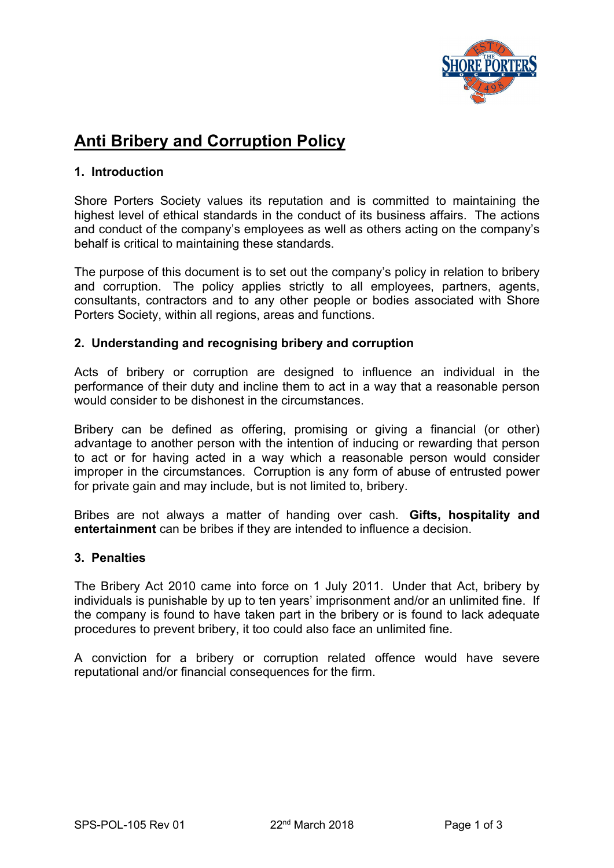

# **Anti Bribery and Corruption Policy 1. Introduction**

Shore Porters Society values its reputation and is committed to maintaining the highest level of ethical standards in the conduct of its business affairs. The actions and conduct of the company's employees as well as others acting on the company's behalf is critical to maintaining these standards.

The purpose of this document is to set out the company's policy in relation to bribery and corruption. The policy applies strictly to all employees, partners, agents, consultants, contractors and to any other people or bodies associated with Shore Porters Society, within all regions, areas and functions.

### **2. Understanding and recognising bribery and corruption**

Acts of bribery or corruption are designed to influence an individual in the performance of their duty and incline them to act in a way that a reasonable person would consider to be dishonest in the circumstances.

Bribery can be defined as offering, promising or giving a financial (or other) advantage to another person with the intention of inducing or rewarding that person to act or for having acted in a way which a reasonable person would consider improper in the circumstances. Corruption is any form of abuse of entrusted power for private gain and may include, but is not limited to, bribery.

Bribes are not always a matter of handing over cash. **Gifts, hospitality and entertainment** can be bribes if they are intended to influence a decision.

### **3. Penalties**

The Bribery Act 2010 came into force on 1 July 2011. Under that Act, bribery by individuals is punishable by up to ten years' imprisonment and/or an unlimited fine. If the company is found to have taken part in the bribery or is found to lack adequate procedures to prevent bribery, it too could also face an unlimited fine.

A conviction for a bribery or corruption related offence would have severe reputational and/or financial consequences for the firm.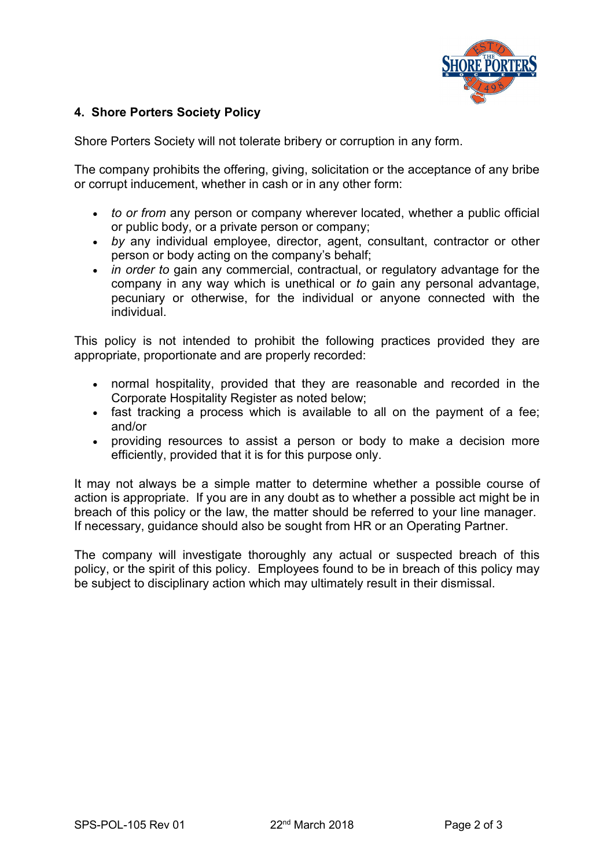

## **4. Shore Porters Society Policy**

Shore Porters Society will not tolerate bribery or corruption in any form.

The company prohibits the offering, giving, solicitation or the acceptance of any bribe or corrupt inducement, whether in cash or in any other form:

- *to or from* any person or company wherever located, whether a public official or public body, or a private person or company;
- *by* any individual employee, director, agent, consultant, contractor or other person or body acting on the company's behalf;
- *in order to* gain any commercial, contractual, or regulatory advantage for the company in any way which is unethical or *to* gain any personal advantage, pecuniary or otherwise, for the individual or anyone connected with the individual.

This policy is not intended to prohibit the following practices provided they are appropriate, proportionate and are properly recorded:

- normal hospitality, provided that they are reasonable and recorded in the Corporate Hospitality Register as noted below;
- fast tracking a process which is available to all on the payment of a fee; and/or
- providing resources to assist a person or body to make a decision more efficiently, provided that it is for this purpose only.

It may not always be a simple matter to determine whether a possible course of action is appropriate. If you are in any doubt as to whether a possible act might be in breach of this policy or the law, the matter should be referred to your line manager. If necessary, guidance should also be sought from HR or an Operating Partner.

The company will investigate thoroughly any actual or suspected breach of this policy, or the spirit of this policy. Employees found to be in breach of this policy may be subject to disciplinary action which may ultimately result in their dismissal.